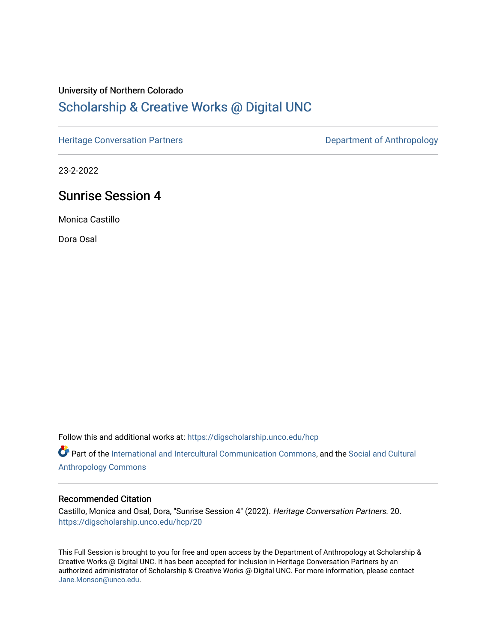### University of Northern Colorado

## [Scholarship & Creative Works @ Digital UNC](https://digscholarship.unco.edu/)

[Heritage Conversation Partners](https://digscholarship.unco.edu/hcp) **Department of Anthropology** 

23-2-2022

### Sunrise Session 4

Monica Castillo

Dora Osal

Follow this and additional works at: [https://digscholarship.unco.edu/hcp](https://digscholarship.unco.edu/hcp?utm_source=digscholarship.unco.edu%2Fhcp%2F20&utm_medium=PDF&utm_campaign=PDFCoverPages) 

Part of the [International and Intercultural Communication Commons,](http://network.bepress.com/hgg/discipline/331?utm_source=digscholarship.unco.edu%2Fhcp%2F20&utm_medium=PDF&utm_campaign=PDFCoverPages) and the Social and Cultural [Anthropology Commons](http://network.bepress.com/hgg/discipline/323?utm_source=digscholarship.unco.edu%2Fhcp%2F20&utm_medium=PDF&utm_campaign=PDFCoverPages)

#### Recommended Citation

Castillo, Monica and Osal, Dora, "Sunrise Session 4" (2022). Heritage Conversation Partners. 20. [https://digscholarship.unco.edu/hcp/20](https://digscholarship.unco.edu/hcp/20?utm_source=digscholarship.unco.edu%2Fhcp%2F20&utm_medium=PDF&utm_campaign=PDFCoverPages) 

This Full Session is brought to you for free and open access by the Department of Anthropology at Scholarship & Creative Works @ Digital UNC. It has been accepted for inclusion in Heritage Conversation Partners by an authorized administrator of Scholarship & Creative Works @ Digital UNC. For more information, please contact [Jane.Monson@unco.edu.](mailto:Jane.Monson@unco.edu)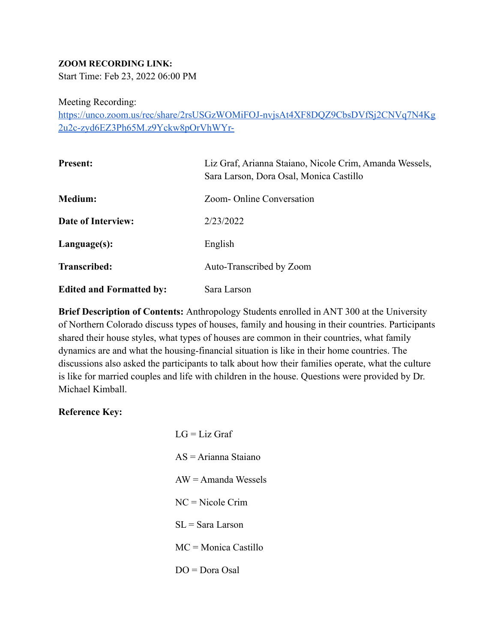#### **ZOOM RECORDING LINK:**

Start Time: Feb 23, 2022 06:00 PM

Meeting Recording:

[https://unco.zoom.us/rec/share/2rsUSGzWOMiFOJ-nvjsAt4XF8DQZ9CbsDVfSj2CNVq7N4Kg](https://unco.zoom.us/rec/share/2rsUSGzWOMiFOJ-nvjsAt4XF8DQZ9CbsDVfSj2CNVq7N4Kg2u2c-zyd6EZ3Ph65M.z9Yckw8pOrVhWYr-) [2u2c-zyd6EZ3Ph65M.z9Yckw8pOrVhWYr-](https://unco.zoom.us/rec/share/2rsUSGzWOMiFOJ-nvjsAt4XF8DQZ9CbsDVfSj2CNVq7N4Kg2u2c-zyd6EZ3Ph65M.z9Yckw8pOrVhWYr-)

| <b>Present:</b>                 | Liz Graf, Arianna Staiano, Nicole Crim, Amanda Wessels,<br>Sara Larson, Dora Osal, Monica Castillo |
|---------------------------------|----------------------------------------------------------------------------------------------------|
| <b>Medium:</b>                  | Zoom-Online Conversation                                                                           |
| <b>Date of Interview:</b>       | 2/23/2022                                                                                          |
| Language(s):                    | English                                                                                            |
| <b>Transcribed:</b>             | Auto-Transcribed by Zoom                                                                           |
| <b>Edited and Formatted by:</b> | Sara Larson                                                                                        |

**Brief Description of Contents:** Anthropology Students enrolled in ANT 300 at the University of Northern Colorado discuss types of houses, family and housing in their countries. Participants shared their house styles, what types of houses are common in their countries, what family dynamics are and what the housing-financial situation is like in their home countries. The discussions also asked the participants to talk about how their families operate, what the culture is like for married couples and life with children in the house. Questions were provided by Dr. Michael Kimball.

#### **Reference Key:**

| $LG = Liz$ Graf               |  |
|-------------------------------|--|
| $AS = Arianna Staiano$        |  |
| $AW = A$ manda Wessels        |  |
| $NC = Nicole Crim$            |  |
| $SL =$ Sara Larson            |  |
| $MC = \text{Monica}$ Castillo |  |
| $DO = Dora Osal$              |  |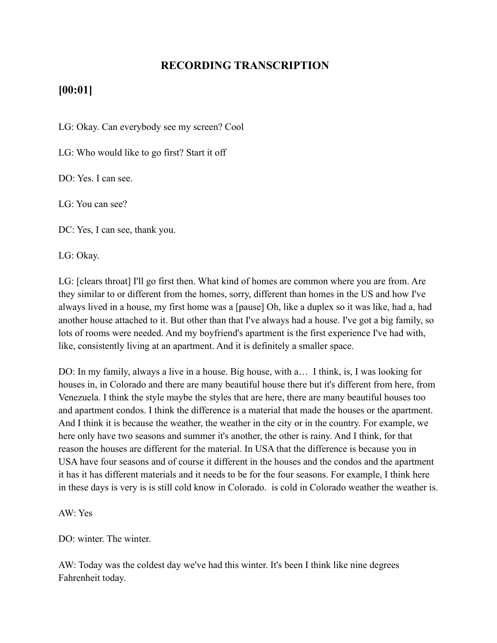### **RECORDING TRANSCRIPTION**

### **[00:01]**

LG: Okay. Can everybody see my screen? Cool

LG: Who would like to go first? Start it off

DO: Yes. I can see.

LG: You can see?

DC: Yes, I can see, thank you.

LG: Okay.

LG: [clears throat] I'll go first then. What kind of homes are common where you are from. Are they similar to or different from the homes, sorry, different than homes in the US and how I've always lived in a house, my first home was a [pause] Oh, like a duplex so it was like, had a, had another house attached to it. But other than that I've always had a house. I've got a big family, so lots of rooms were needed. And my boyfriend's apartment is the first experience I've had with, like, consistently living at an apartment. And it is definitely a smaller space.

DO: In my family, always a live in a house. Big house, with a… I think, is, I was looking for houses in, in Colorado and there are many beautiful house there but it's different from here, from Venezuela. I think the style maybe the styles that are here, there are many beautiful houses too and apartment condos. I think the difference is a material that made the houses or the apartment. And I think it is because the weather, the weather in the city or in the country. For example, we here only have two seasons and summer it's another, the other is rainy. And I think, for that reason the houses are different for the material. In USA that the difference is because you in USA have four seasons and of course it different in the houses and the condos and the apartment it has it has different materials and it needs to be for the four seasons. For example, I think here in these days is very is is still cold know in Colorado. is cold in Colorado weather the weather is.

AW: Yes

DO: winter. The winter.

AW: Today was the coldest day we've had this winter. It's been I think like nine degrees Fahrenheit today.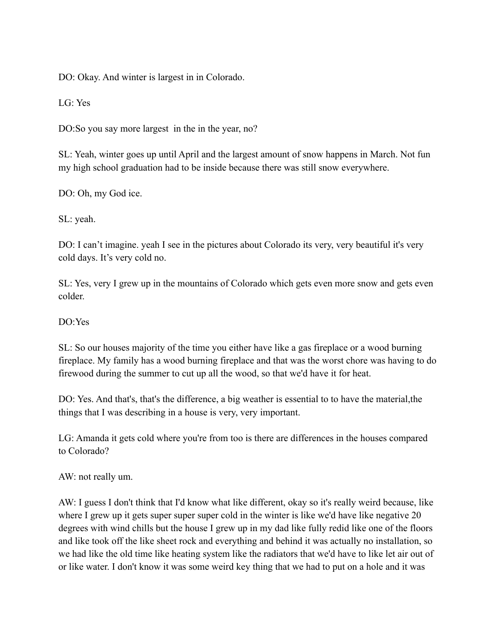DO: Okay. And winter is largest in in Colorado.

LG: Yes

DO:So you say more largest in the in the year, no?

SL: Yeah, winter goes up until April and the largest amount of snow happens in March. Not fun my high school graduation had to be inside because there was still snow everywhere.

DO: Oh, my God ice.

SL: yeah.

DO: I can't imagine. yeah I see in the pictures about Colorado its very, very beautiful it's very cold days. It's very cold no.

SL: Yes, very I grew up in the mountains of Colorado which gets even more snow and gets even colder.

#### DO:Yes

SL: So our houses majority of the time you either have like a gas fireplace or a wood burning fireplace. My family has a wood burning fireplace and that was the worst chore was having to do firewood during the summer to cut up all the wood, so that we'd have it for heat.

DO: Yes. And that's, that's the difference, a big weather is essential to to have the material, the things that I was describing in a house is very, very important.

LG: Amanda it gets cold where you're from too is there are differences in the houses compared to Colorado?

AW: not really um.

AW: I guess I don't think that I'd know what like different, okay so it's really weird because, like where I grew up it gets super super super cold in the winter is like we'd have like negative 20 degrees with wind chills but the house I grew up in my dad like fully redid like one of the floors and like took off the like sheet rock and everything and behind it was actually no installation, so we had like the old time like heating system like the radiators that we'd have to like let air out of or like water. I don't know it was some weird key thing that we had to put on a hole and it was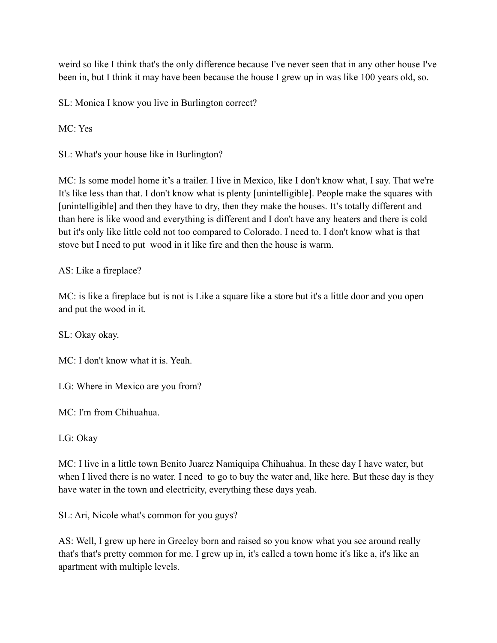weird so like I think that's the only difference because I've never seen that in any other house I've been in, but I think it may have been because the house I grew up in was like 100 years old, so.

SL: Monica I know you live in Burlington correct?

MC: Yes

SL: What's your house like in Burlington?

MC: Is some model home it's a trailer. I live in Mexico, like I don't know what, I say. That we're It's like less than that. I don't know what is plenty [unintelligible]. People make the squares with [unintelligible] and then they have to dry, then they make the houses. It's totally different and than here is like wood and everything is different and I don't have any heaters and there is cold but it's only like little cold not too compared to Colorado. I need to. I don't know what is that stove but I need to put wood in it like fire and then the house is warm.

### AS: Like a fireplace?

MC: is like a fireplace but is not is Like a square like a store but it's a little door and you open and put the wood in it.

SL: Okay okay.

MC: I don't know what it is. Yeah.

LG: Where in Mexico are you from?

MC: I'm from Chihuahua.

LG: Okay

MC: I live in a little town Benito Juarez Namiquipa Chihuahua. In these day I have water, but when I lived there is no water. I need to go to buy the water and, like here. But these day is they have water in the town and electricity, everything these days yeah.

SL: Ari, Nicole what's common for you guys?

AS: Well, I grew up here in Greeley born and raised so you know what you see around really that's that's pretty common for me. I grew up in, it's called a town home it's like a, it's like an apartment with multiple levels.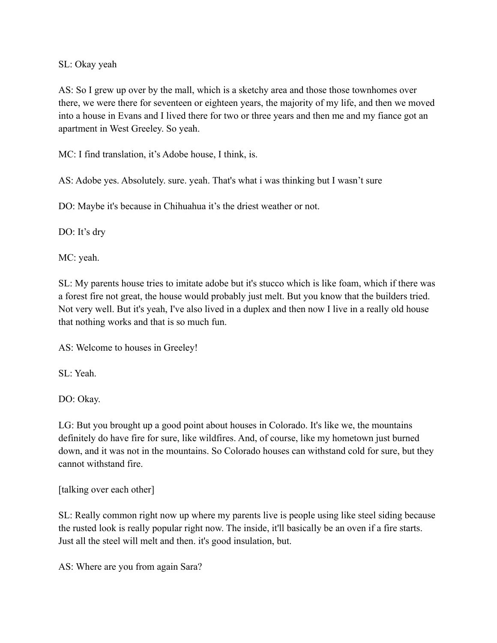#### SL: Okay yeah

AS: So I grew up over by the mall, which is a sketchy area and those those townhomes over there, we were there for seventeen or eighteen years, the majority of my life, and then we moved into a house in Evans and I lived there for two or three years and then me and my fiance got an apartment in West Greeley. So yeah.

MC: I find translation, it's Adobe house, I think, is.

AS: Adobe yes. Absolutely. sure. yeah. That's what i was thinking but I wasn't sure

DO: Maybe it's because in Chihuahua it's the driest weather or not.

DO: It's dry

MC: yeah.

SL: My parents house tries to imitate adobe but it's stucco which is like foam, which if there was a forest fire not great, the house would probably just melt. But you know that the builders tried. Not very well. But it's yeah, I've also lived in a duplex and then now I live in a really old house that nothing works and that is so much fun.

AS: Welcome to houses in Greeley!

SL: Yeah.

DO: Okay.

LG: But you brought up a good point about houses in Colorado. It's like we, the mountains definitely do have fire for sure, like wildfires. And, of course, like my hometown just burned down, and it was not in the mountains. So Colorado houses can withstand cold for sure, but they cannot withstand fire.

[talking over each other]

SL: Really common right now up where my parents live is people using like steel siding because the rusted look is really popular right now. The inside, it'll basically be an oven if a fire starts. Just all the steel will melt and then. it's good insulation, but.

AS: Where are you from again Sara?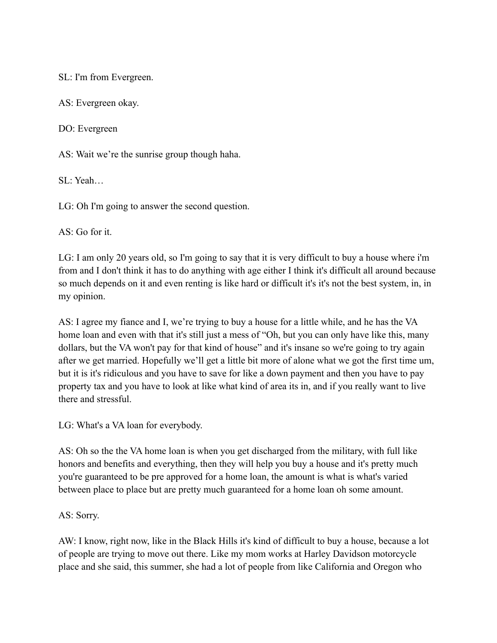SL: I'm from Evergreen.

AS: Evergreen okay.

DO: Evergreen

AS: Wait we're the sunrise group though haha.

SL: Yeah…

LG: Oh I'm going to answer the second question.

AS: Go for it.

LG: I am only 20 years old, so I'm going to say that it is very difficult to buy a house where i'm from and I don't think it has to do anything with age either I think it's difficult all around because so much depends on it and even renting is like hard or difficult it's it's not the best system, in, in my opinion.

AS: I agree my fiance and I, we're trying to buy a house for a little while, and he has the VA home loan and even with that it's still just a mess of "Oh, but you can only have like this, many dollars, but the VA won't pay for that kind of house" and it's insane so we're going to try again after we get married. Hopefully we'll get a little bit more of alone what we got the first time um, but it is it's ridiculous and you have to save for like a down payment and then you have to pay property tax and you have to look at like what kind of area its in, and if you really want to live there and stressful.

LG: What's a VA loan for everybody.

AS: Oh so the the VA home loan is when you get discharged from the military, with full like honors and benefits and everything, then they will help you buy a house and it's pretty much you're guaranteed to be pre approved for a home loan, the amount is what is what's varied between place to place but are pretty much guaranteed for a home loan oh some amount.

AS: Sorry.

AW: I know, right now, like in the Black Hills it's kind of difficult to buy a house, because a lot of people are trying to move out there. Like my mom works at Harley Davidson motorcycle place and she said, this summer, she had a lot of people from like California and Oregon who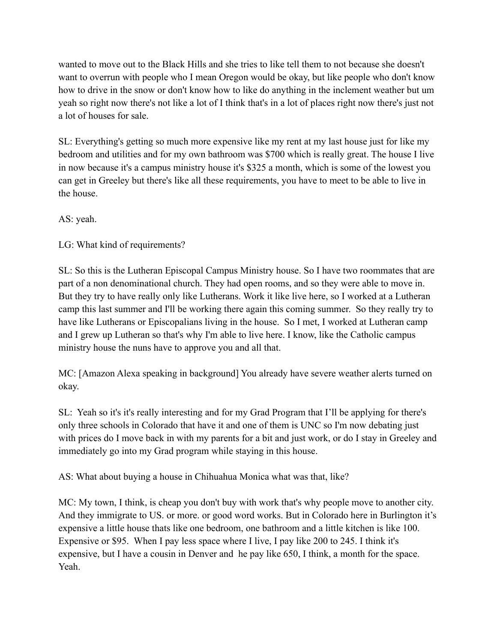wanted to move out to the Black Hills and she tries to like tell them to not because she doesn't want to overrun with people who I mean Oregon would be okay, but like people who don't know how to drive in the snow or don't know how to like do anything in the inclement weather but um yeah so right now there's not like a lot of I think that's in a lot of places right now there's just not a lot of houses for sale.

SL: Everything's getting so much more expensive like my rent at my last house just for like my bedroom and utilities and for my own bathroom was \$700 which is really great. The house I live in now because it's a campus ministry house it's \$325 a month, which is some of the lowest you can get in Greeley but there's like all these requirements, you have to meet to be able to live in the house.

AS: yeah.

LG: What kind of requirements?

SL: So this is the Lutheran Episcopal Campus Ministry house. So I have two roommates that are part of a non denominational church. They had open rooms, and so they were able to move in. But they try to have really only like Lutherans. Work it like live here, so I worked at a Lutheran camp this last summer and I'll be working there again this coming summer. So they really try to have like Lutherans or Episcopalians living in the house. So I met, I worked at Lutheran camp and I grew up Lutheran so that's why I'm able to live here. I know, like the Catholic campus ministry house the nuns have to approve you and all that.

MC: [Amazon Alexa speaking in background] You already have severe weather alerts turned on okay.

SL: Yeah so it's it's really interesting and for my Grad Program that I'll be applying for there's only three schools in Colorado that have it and one of them is UNC so I'm now debating just with prices do I move back in with my parents for a bit and just work, or do I stay in Greeley and immediately go into my Grad program while staying in this house.

AS: What about buying a house in Chihuahua Monica what was that, like?

MC: My town, I think, is cheap you don't buy with work that's why people move to another city. And they immigrate to US. or more. or good word works. But in Colorado here in Burlington it's expensive a little house thats like one bedroom, one bathroom and a little kitchen is like 100. Expensive or \$95. When I pay less space where I live, I pay like 200 to 245. I think it's expensive, but I have a cousin in Denver and he pay like 650, I think, a month for the space. Yeah.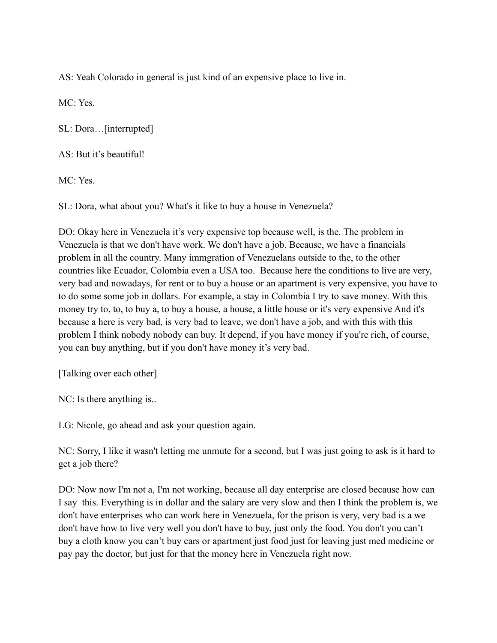AS: Yeah Colorado in general is just kind of an expensive place to live in.

MC: Yes.

SL: Dora…[interrupted]

AS: But it's beautiful!

MC: Yes.

SL: Dora, what about you? What's it like to buy a house in Venezuela?

DO: Okay here in Venezuela it's very expensive top because well, is the. The problem in Venezuela is that we don't have work. We don't have a job. Because, we have a financials problem in all the country. Many immgration of Venezuelans outside to the, to the other countries like Ecuador, Colombia even a USA too. Because here the conditions to live are very, very bad and nowadays, for rent or to buy a house or an apartment is very expensive, you have to to do some some job in dollars. For example, a stay in Colombia I try to save money. With this money try to, to, to buy a, to buy a house, a house, a little house or it's very expensive And it's because a here is very bad, is very bad to leave, we don't have a job, and with this with this problem I think nobody nobody can buy. It depend, if you have money if you're rich, of course, you can buy anything, but if you don't have money it's very bad.

[Talking over each other]

NC: Is there anything is..

LG: Nicole, go ahead and ask your question again.

NC: Sorry, I like it wasn't letting me unmute for a second, but I was just going to ask is it hard to get a job there?

DO: Now now I'm not a, I'm not working, because all day enterprise are closed because how can I say this. Everything is in dollar and the salary are very slow and then I think the problem is, we don't have enterprises who can work here in Venezuela, for the prison is very, very bad is a we don't have how to live very well you don't have to buy, just only the food. You don't you can't buy a cloth know you can't buy cars or apartment just food just for leaving just med medicine or pay pay the doctor, but just for that the money here in Venezuela right now.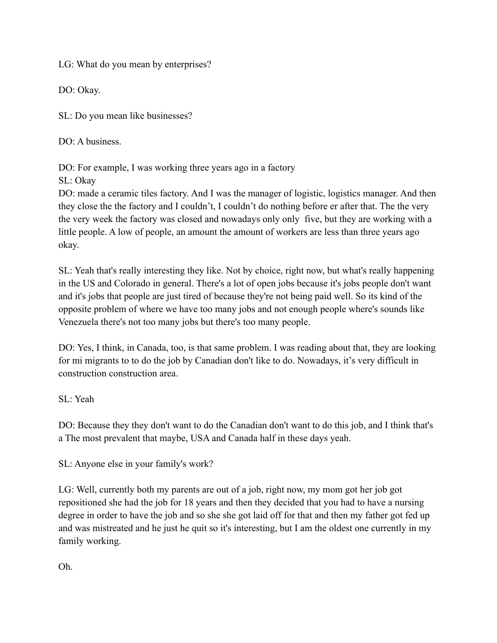LG: What do you mean by enterprises?

DO: Okay.

SL: Do you mean like businesses?

DO: A business

DO: For example, I was working three years ago in a factory SL: Okay

DO: made a ceramic tiles factory. And I was the manager of logistic, logistics manager. And then they close the the factory and I couldn't, I couldn't do nothing before er after that. The the very the very week the factory was closed and nowadays only only five, but they are working with a little people. A low of people, an amount the amount of workers are less than three years ago okay.

SL: Yeah that's really interesting they like. Not by choice, right now, but what's really happening in the US and Colorado in general. There's a lot of open jobs because it's jobs people don't want and it's jobs that people are just tired of because they're not being paid well. So its kind of the opposite problem of where we have too many jobs and not enough people where's sounds like Venezuela there's not too many jobs but there's too many people.

DO: Yes, I think, in Canada, too, is that same problem. I was reading about that, they are looking for mi migrants to to do the job by Canadian don't like to do. Nowadays, it's very difficult in construction construction area.

SL: Yeah

DO: Because they they don't want to do the Canadian don't want to do this job, and I think that's a The most prevalent that maybe, USA and Canada half in these days yeah.

SL: Anyone else in your family's work?

LG: Well, currently both my parents are out of a job, right now, my mom got her job got repositioned she had the job for 18 years and then they decided that you had to have a nursing degree in order to have the job and so she she got laid off for that and then my father got fed up and was mistreated and he just he quit so it's interesting, but I am the oldest one currently in my family working.

Oh.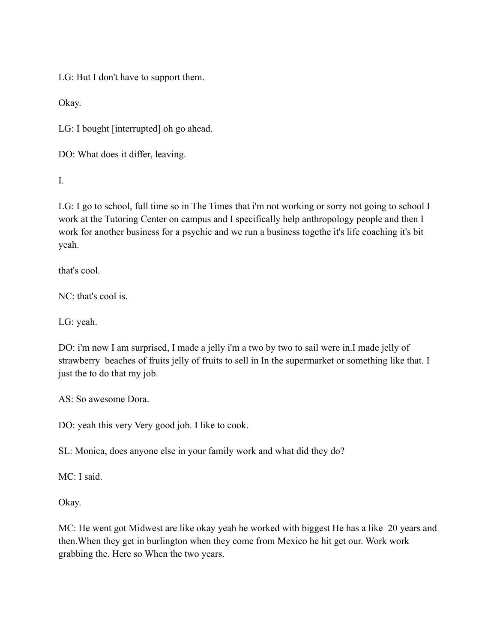LG: But I don't have to support them.

Okay.

LG: I bought [interrupted] oh go ahead.

DO: What does it differ, leaving.

I.

LG: I go to school, full time so in The Times that i'm not working or sorry not going to school I work at the Tutoring Center on campus and I specifically help anthropology people and then I work for another business for a psychic and we run a business togethe it's life coaching it's bit yeah.

that's cool.

NC: that's cool is.

LG: yeah.

DO: i'm now I am surprised, I made a jelly i'm a two by two to sail were in.I made jelly of strawberry beaches of fruits jelly of fruits to sell in In the supermarket or something like that. I just the to do that my job.

AS: So awesome Dora.

DO: yeah this very Very good job. I like to cook.

SL: Monica, does anyone else in your family work and what did they do?

MC: I said.

Okay.

MC: He went got Midwest are like okay yeah he worked with biggest He has a like 20 years and then.When they get in burlington when they come from Mexico he hit get our. Work work grabbing the. Here so When the two years.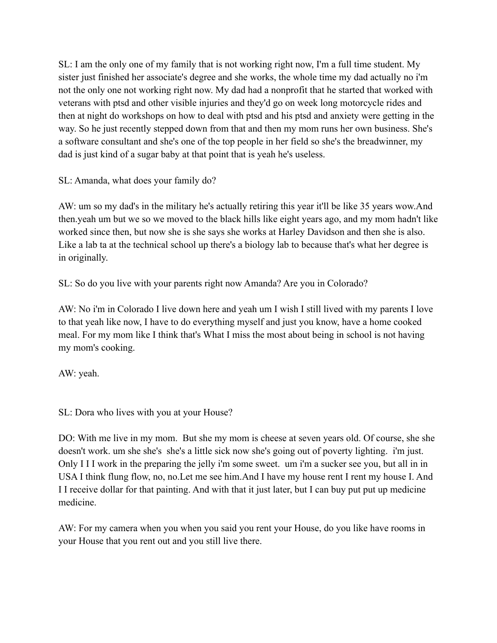SL: I am the only one of my family that is not working right now, I'm a full time student. My sister just finished her associate's degree and she works, the whole time my dad actually no i'm not the only one not working right now. My dad had a nonprofit that he started that worked with veterans with ptsd and other visible injuries and they'd go on week long motorcycle rides and then at night do workshops on how to deal with ptsd and his ptsd and anxiety were getting in the way. So he just recently stepped down from that and then my mom runs her own business. She's a software consultant and she's one of the top people in her field so she's the breadwinner, my dad is just kind of a sugar baby at that point that is yeah he's useless.

SL: Amanda, what does your family do?

AW: um so my dad's in the military he's actually retiring this year it'll be like 35 years wow.And then.yeah um but we so we moved to the black hills like eight years ago, and my mom hadn't like worked since then, but now she is she says she works at Harley Davidson and then she is also. Like a lab ta at the technical school up there's a biology lab to because that's what her degree is in originally.

SL: So do you live with your parents right now Amanda? Are you in Colorado?

AW: No i'm in Colorado I live down here and yeah um I wish I still lived with my parents I love to that yeah like now, I have to do everything myself and just you know, have a home cooked meal. For my mom like I think that's What I miss the most about being in school is not having my mom's cooking.

AW: yeah.

SL: Dora who lives with you at your House?

DO: With me live in my mom. But she my mom is cheese at seven years old. Of course, she she doesn't work. um she she's she's a little sick now she's going out of poverty lighting. i'm just. Only I I I work in the preparing the jelly i'm some sweet. um i'm a sucker see you, but all in in USA I think flung flow, no, no.Let me see him.And I have my house rent I rent my house I. And I I receive dollar for that painting. And with that it just later, but I can buy put put up medicine medicine.

AW: For my camera when you when you said you rent your House, do you like have rooms in your House that you rent out and you still live there.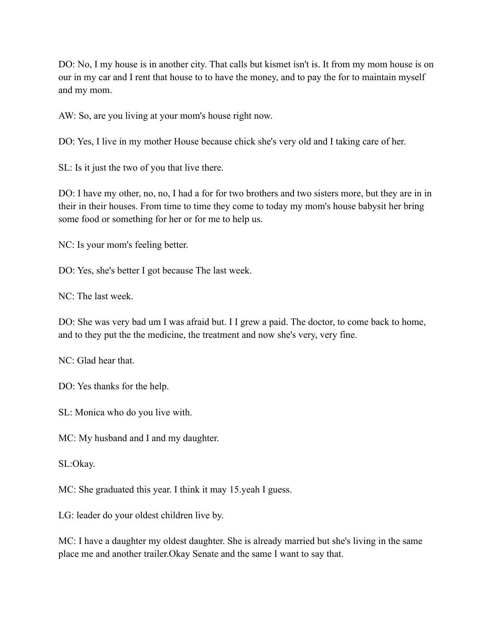DO: No, I my house is in another city. That calls but kismet isn't is. It from my mom house is on our in my car and I rent that house to to have the money, and to pay the for to maintain myself and my mom.

AW: So, are you living at your mom's house right now.

DO: Yes, I live in my mother House because chick she's very old and I taking care of her.

SL: Is it just the two of you that live there.

DO: I have my other, no, no, I had a for for two brothers and two sisters more, but they are in in their in their houses. From time to time they come to today my mom's house babysit her bring some food or something for her or for me to help us.

NC: Is your mom's feeling better.

DO: Yes, she's better I got because The last week.

 $NC$ : The last week.

DO: She was very bad um I was afraid but. I I grew a paid. The doctor, to come back to home, and to they put the the medicine, the treatment and now she's very, very fine.

NC: Glad hear that.

DO: Yes thanks for the help.

SL: Monica who do you live with.

MC: My husband and I and my daughter.

SL:Okay.

MC: She graduated this year. I think it may 15.yeah I guess.

LG: leader do your oldest children live by.

MC: I have a daughter my oldest daughter. She is already married but she's living in the same place me and another trailer.Okay Senate and the same I want to say that.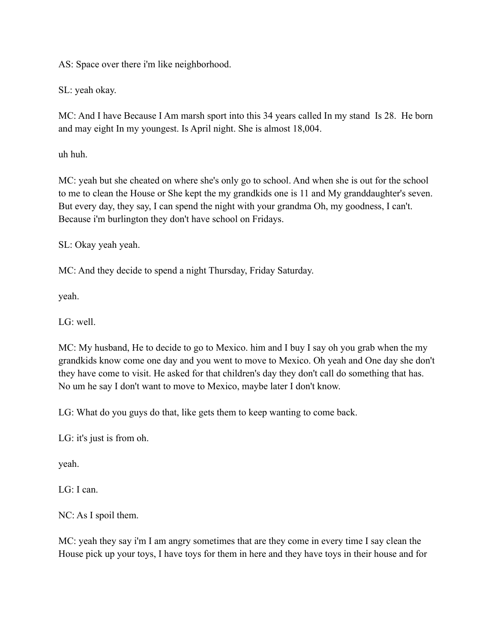AS: Space over there i'm like neighborhood.

SL: yeah okay.

MC: And I have Because I Am marsh sport into this 34 years called In my stand Is 28. He born and may eight In my youngest. Is April night. She is almost 18,004.

uh huh.

MC: yeah but she cheated on where she's only go to school. And when she is out for the school to me to clean the House or She kept the my grandkids one is 11 and My granddaughter's seven. But every day, they say, I can spend the night with your grandma Oh, my goodness, I can't. Because i'm burlington they don't have school on Fridays.

SL: Okay yeah yeah.

MC: And they decide to spend a night Thursday, Friday Saturday.

yeah.

LG: well.

MC: My husband, He to decide to go to Mexico. him and I buy I say oh you grab when the my grandkids know come one day and you went to move to Mexico. Oh yeah and One day she don't they have come to visit. He asked for that children's day they don't call do something that has. No um he say I don't want to move to Mexico, maybe later I don't know.

LG: What do you guys do that, like gets them to keep wanting to come back.

LG: it's just is from oh.

yeah.

LG: I can.

NC: As I spoil them.

MC: yeah they say i'm I am angry sometimes that are they come in every time I say clean the House pick up your toys, I have toys for them in here and they have toys in their house and for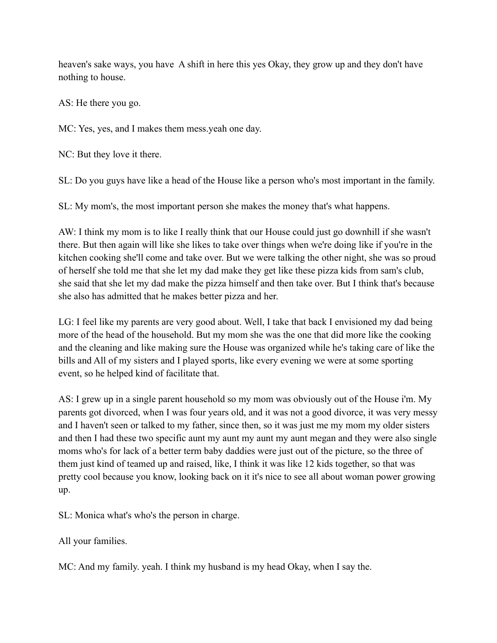heaven's sake ways, you have A shift in here this yes Okay, they grow up and they don't have nothing to house.

AS: He there you go.

MC: Yes, yes, and I makes them mess.yeah one day.

NC: But they love it there.

SL: Do you guys have like a head of the House like a person who's most important in the family.

SL: My mom's, the most important person she makes the money that's what happens.

AW: I think my mom is to like I really think that our House could just go downhill if she wasn't there. But then again will like she likes to take over things when we're doing like if you're in the kitchen cooking she'll come and take over. But we were talking the other night, she was so proud of herself she told me that she let my dad make they get like these pizza kids from sam's club, she said that she let my dad make the pizza himself and then take over. But I think that's because she also has admitted that he makes better pizza and her.

LG: I feel like my parents are very good about. Well, I take that back I envisioned my dad being more of the head of the household. But my mom she was the one that did more like the cooking and the cleaning and like making sure the House was organized while he's taking care of like the bills and All of my sisters and I played sports, like every evening we were at some sporting event, so he helped kind of facilitate that.

AS: I grew up in a single parent household so my mom was obviously out of the House i'm. My parents got divorced, when I was four years old, and it was not a good divorce, it was very messy and I haven't seen or talked to my father, since then, so it was just me my mom my older sisters and then I had these two specific aunt my aunt my aunt my aunt megan and they were also single moms who's for lack of a better term baby daddies were just out of the picture, so the three of them just kind of teamed up and raised, like, I think it was like 12 kids together, so that was pretty cool because you know, looking back on it it's nice to see all about woman power growing up.

SL: Monica what's who's the person in charge.

All your families.

MC: And my family. yeah. I think my husband is my head Okay, when I say the.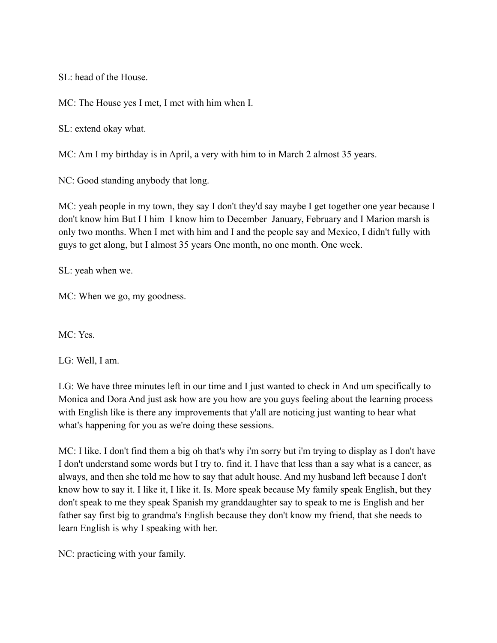SL: head of the House.

MC: The House yes I met, I met with him when I.

SL: extend okay what.

MC: Am I my birthday is in April, a very with him to in March 2 almost 35 years.

NC: Good standing anybody that long.

MC: yeah people in my town, they say I don't they'd say maybe I get together one year because I don't know him But I I him I know him to December January, February and I Marion marsh is only two months. When I met with him and I and the people say and Mexico, I didn't fully with guys to get along, but I almost 35 years One month, no one month. One week.

SL: yeah when we.

MC: When we go, my goodness.

MC: Yes.

LG: Well, I am.

LG: We have three minutes left in our time and I just wanted to check in And um specifically to Monica and Dora And just ask how are you how are you guys feeling about the learning process with English like is there any improvements that y'all are noticing just wanting to hear what what's happening for you as we're doing these sessions.

MC: I like. I don't find them a big oh that's why i'm sorry but i'm trying to display as I don't have I don't understand some words but I try to. find it. I have that less than a say what is a cancer, as always, and then she told me how to say that adult house. And my husband left because I don't know how to say it. I like it, I like it. Is. More speak because My family speak English, but they don't speak to me they speak Spanish my granddaughter say to speak to me is English and her father say first big to grandma's English because they don't know my friend, that she needs to learn English is why I speaking with her.

NC: practicing with your family.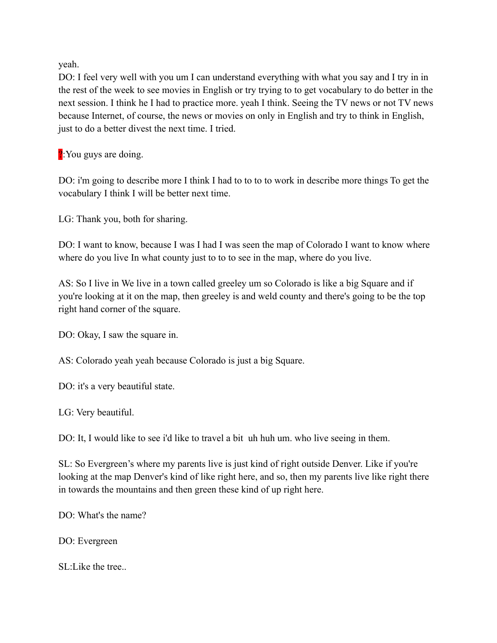yeah.

DO: I feel very well with you um I can understand everything with what you say and I try in in the rest of the week to see movies in English or try trying to to get vocabulary to do better in the next session. I think he I had to practice more. yeah I think. Seeing the TV news or not TV news because Internet, of course, the news or movies on only in English and try to think in English, just to do a better divest the next time. I tried.

?: You guys are doing.

DO: i'm going to describe more I think I had to to to to work in describe more things To get the vocabulary I think I will be better next time.

LG: Thank you, both for sharing.

DO: I want to know, because I was I had I was seen the map of Colorado I want to know where where do you live In what county just to to to see in the map, where do you live.

AS: So I live in We live in a town called greeley um so Colorado is like a big Square and if you're looking at it on the map, then greeley is and weld county and there's going to be the top right hand corner of the square.

DO: Okay, I saw the square in.

AS: Colorado yeah yeah because Colorado is just a big Square.

DO: it's a very beautiful state.

LG: Very beautiful.

DO: It, I would like to see i'd like to travel a bit uh huh um. who live seeing in them.

SL: So Evergreen's where my parents live is just kind of right outside Denver. Like if you're looking at the map Denver's kind of like right here, and so, then my parents live like right there in towards the mountains and then green these kind of up right here.

DO: What's the name?

DO: Evergreen

SL: Like the tree.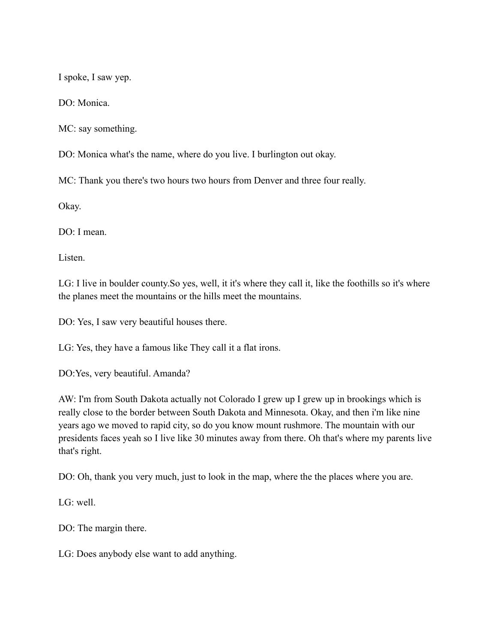I spoke, I saw yep.

DO: Monica.

MC: say something.

DO: Monica what's the name, where do you live. I burlington out okay.

MC: Thank you there's two hours two hours from Denver and three four really.

Okay.

DO: I mean.

Listen.

LG: I live in boulder county.So yes, well, it it's where they call it, like the foothills so it's where the planes meet the mountains or the hills meet the mountains.

DO: Yes, I saw very beautiful houses there.

LG: Yes, they have a famous like They call it a flat irons.

DO:Yes, very beautiful. Amanda?

AW: I'm from South Dakota actually not Colorado I grew up I grew up in brookings which is really close to the border between South Dakota and Minnesota. Okay, and then i'm like nine years ago we moved to rapid city, so do you know mount rushmore. The mountain with our presidents faces yeah so I live like 30 minutes away from there. Oh that's where my parents live that's right.

DO: Oh, thank you very much, just to look in the map, where the the places where you are.

LG: well.

DO: The margin there.

LG: Does anybody else want to add anything.